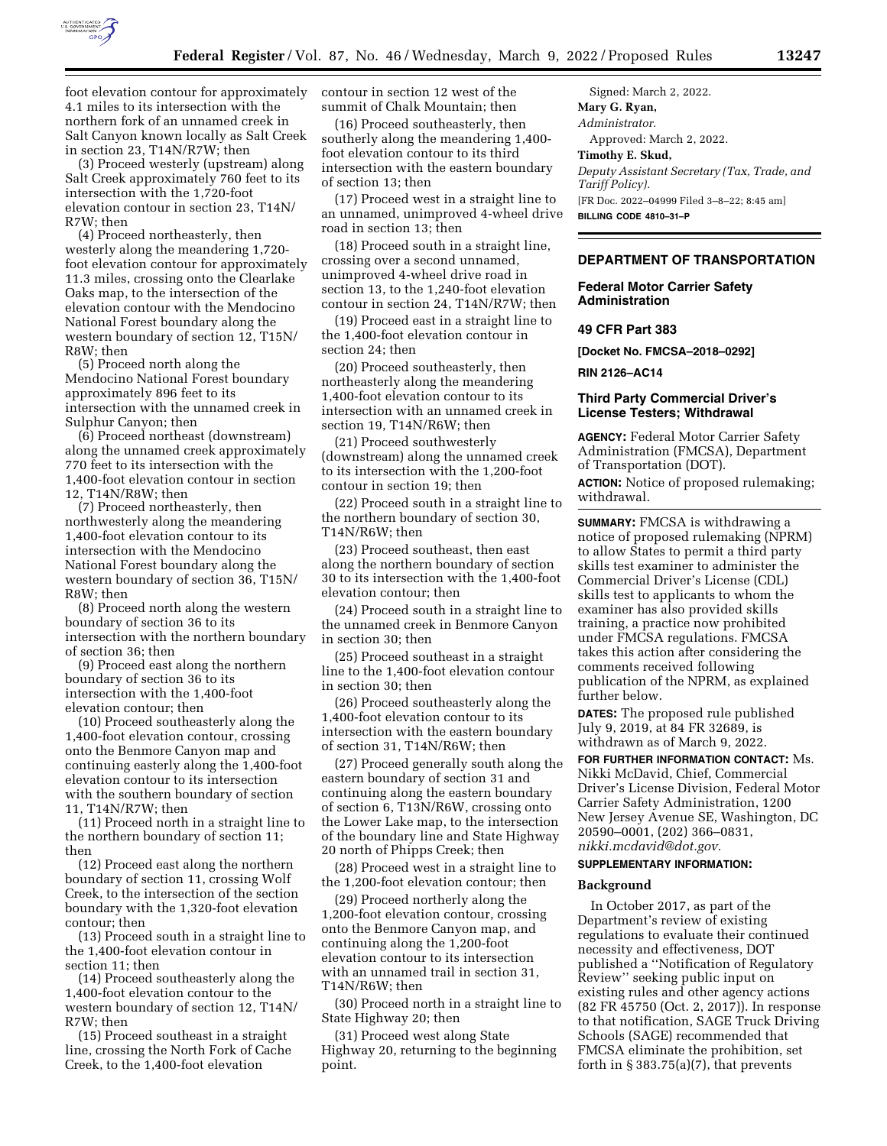

foot elevation contour for approximately 4.1 miles to its intersection with the northern fork of an unnamed creek in Salt Canyon known locally as Salt Creek in section 23, T14N/R7W; then

(3) Proceed westerly (upstream) along Salt Creek approximately 760 feet to its intersection with the 1,720-foot elevation contour in section 23, T14N/  $R7W:$  then

(4) Proceed northeasterly, then westerly along the meandering 1,720 foot elevation contour for approximately 11.3 miles, crossing onto the Clearlake Oaks map, to the intersection of the elevation contour with the Mendocino National Forest boundary along the western boundary of section 12, T15N/ R8W; then

(5) Proceed north along the Mendocino National Forest boundary approximately 896 feet to its intersection with the unnamed creek in Sulphur Canyon; then

(6) Proceed northeast (downstream) along the unnamed creek approximately 770 feet to its intersection with the 1,400-foot elevation contour in section 12, T14N/R8W; then

(7) Proceed northeasterly, then northwesterly along the meandering 1,400-foot elevation contour to its intersection with the Mendocino National Forest boundary along the western boundary of section 36, T15N/ R8W; then

(8) Proceed north along the western boundary of section 36 to its intersection with the northern boundary of section 36; then

(9) Proceed east along the northern boundary of section 36 to its intersection with the 1,400-foot elevation contour; then

(10) Proceed southeasterly along the 1,400-foot elevation contour, crossing onto the Benmore Canyon map and continuing easterly along the 1,400-foot elevation contour to its intersection with the southern boundary of section 11, T14N/R7W; then

(11) Proceed north in a straight line to the northern boundary of section 11; then

(12) Proceed east along the northern boundary of section 11, crossing Wolf Creek, to the intersection of the section boundary with the 1,320-foot elevation contour; then

(13) Proceed south in a straight line to the 1,400-foot elevation contour in section 11; then

(14) Proceed southeasterly along the 1,400-foot elevation contour to the western boundary of section 12, T14N/ R7W; then

(15) Proceed southeast in a straight line, crossing the North Fork of Cache Creek, to the 1,400-foot elevation

contour in section 12 west of the summit of Chalk Mountain; then

(16) Proceed southeasterly, then southerly along the meandering 1,400 foot elevation contour to its third intersection with the eastern boundary of section 13; then

(17) Proceed west in a straight line to an unnamed, unimproved 4-wheel drive road in section 13; then

(18) Proceed south in a straight line, crossing over a second unnamed, unimproved 4-wheel drive road in section 13, to the 1,240-foot elevation contour in section 24, T14N/R7W; then

(19) Proceed east in a straight line to the 1,400-foot elevation contour in section 24; then

(20) Proceed southeasterly, then northeasterly along the meandering 1,400-foot elevation contour to its intersection with an unnamed creek in section 19, T14N/R6W; then

(21) Proceed southwesterly (downstream) along the unnamed creek to its intersection with the 1,200-foot contour in section 19; then

(22) Proceed south in a straight line to the northern boundary of section 30, T14N/R6W; then

(23) Proceed southeast, then east along the northern boundary of section 30 to its intersection with the 1,400-foot elevation contour; then

(24) Proceed south in a straight line to the unnamed creek in Benmore Canyon in section 30; then

(25) Proceed southeast in a straight line to the 1,400-foot elevation contour in section 30; then

(26) Proceed southeasterly along the 1,400-foot elevation contour to its intersection with the eastern boundary of section 31, T14N/R6W; then

(27) Proceed generally south along the eastern boundary of section 31 and continuing along the eastern boundary of section 6, T13N/R6W, crossing onto the Lower Lake map, to the intersection of the boundary line and State Highway 20 north of Phipps Creek; then

(28) Proceed west in a straight line to the 1,200-foot elevation contour; then

(29) Proceed northerly along the 1,200-foot elevation contour, crossing onto the Benmore Canyon map, and continuing along the 1,200-foot elevation contour to its intersection with an unnamed trail in section 31, T14N/R6W; then

(30) Proceed north in a straight line to State Highway 20; then

(31) Proceed west along State Highway 20, returning to the beginning point.

Signed: March 2, 2022. **Mary G. Ryan,**  *Administrator.*  Approved: March 2, 2022. **Timothy E. Skud,**  *Deputy Assistant Secretary (Tax, Trade, and Tariff Policy).*  [FR Doc. 2022–04999 Filed 3–8–22; 8:45 am] **BILLING CODE 4810–31–P** 

# **DEPARTMENT OF TRANSPORTATION**

# **Federal Motor Carrier Safety Administration**

## **49 CFR Part 383**

**[Docket No. FMCSA–2018–0292]** 

**RIN 2126–AC14** 

## **Third Party Commercial Driver's License Testers; Withdrawal**

**AGENCY:** Federal Motor Carrier Safety Administration (FMCSA), Department of Transportation (DOT).

**ACTION:** Notice of proposed rulemaking; withdrawal.

**SUMMARY:** FMCSA is withdrawing a notice of proposed rulemaking (NPRM) to allow States to permit a third party skills test examiner to administer the Commercial Driver's License (CDL) skills test to applicants to whom the examiner has also provided skills training, a practice now prohibited under FMCSA regulations. FMCSA takes this action after considering the comments received following publication of the NPRM, as explained further below.

**DATES:** The proposed rule published July 9, 2019, at 84 FR 32689, is withdrawn as of March 9, 2022.

**FOR FURTHER INFORMATION CONTACT:** Ms. Nikki McDavid, Chief, Commercial Driver's License Division, Federal Motor Carrier Safety Administration, 1200 New Jersey Avenue SE, Washington, DC 20590–0001, (202) 366–0831, *[nikki.mcdavid@dot.gov.](mailto:nikki.mcdavid@dot.gov)* 

### **SUPPLEMENTARY INFORMATION:**

### **Background**

In October 2017, as part of the Department's review of existing regulations to evaluate their continued necessity and effectiveness, DOT published a ''Notification of Regulatory Review'' seeking public input on existing rules and other agency actions (82 FR 45750 (Oct. 2, 2017)). In response to that notification, SAGE Truck Driving Schools (SAGE) recommended that FMCSA eliminate the prohibition, set forth in  $\S 383.75(a)(7)$ , that prevents